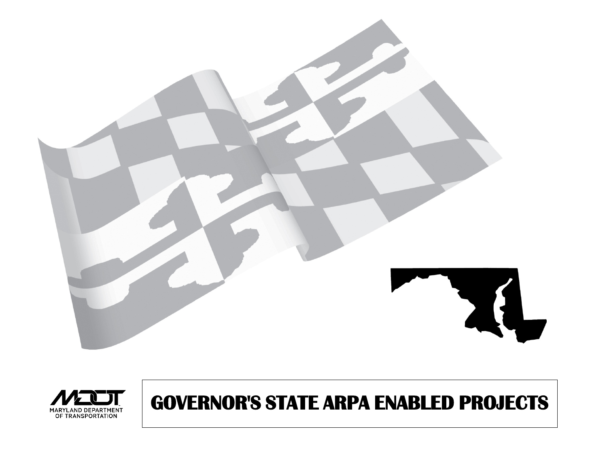



# **GOVERNOR'S STATE ARPA ENABLED PROJECTS**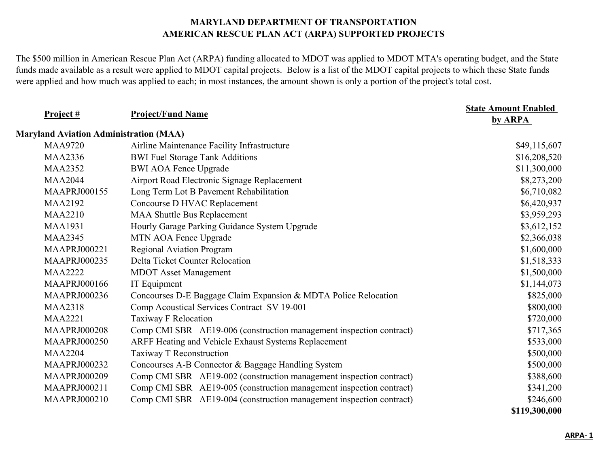The \$500 million in American Rescue Plan Act (ARPA) funding allocated to MDOT was applied to MDOT MTA's operating budget, and the State funds made available as a result were applied to MDOT capital projects. Below is a list of the MDOT capital projects to which these State funds were applied and how much was applied to each; in most instances, the amount shown is only a portion of the project's total cost.

| Project#                                      | <b>Project/Fund Name</b>                                            | <b>State Amount Enabled</b><br>by ARPA |
|-----------------------------------------------|---------------------------------------------------------------------|----------------------------------------|
| <b>Maryland Aviation Administration (MAA)</b> |                                                                     |                                        |
| <b>MAA9720</b>                                | Airline Maintenance Facility Infrastructure                         | \$49,115,607                           |
| <b>MAA2336</b>                                | <b>BWI Fuel Storage Tank Additions</b>                              | \$16,208,520                           |
| <b>MAA2352</b>                                | <b>BWI AOA Fence Upgrade</b>                                        | \$11,300,000                           |
| <b>MAA2044</b>                                | Airport Road Electronic Signage Replacement                         | \$8,273,200                            |
| <b>MAAPRJ000155</b>                           | Long Term Lot B Pavement Rehabilitation                             | \$6,710,082                            |
| <b>MAA2192</b>                                | Concourse D HVAC Replacement                                        | \$6,420,937                            |
| <b>MAA2210</b>                                | <b>MAA Shuttle Bus Replacement</b>                                  | \$3,959,293                            |
| <b>MAA1931</b>                                | Hourly Garage Parking Guidance System Upgrade                       | \$3,612,152                            |
| <b>MAA2345</b>                                | MTN AOA Fence Upgrade                                               | \$2,366,038                            |
| <b>MAAPRJ000221</b>                           | <b>Regional Aviation Program</b>                                    | \$1,600,000                            |
| <b>MAAPRJ000235</b>                           | Delta Ticket Counter Relocation                                     | \$1,518,333                            |
| <b>MAA2222</b>                                | <b>MDOT</b> Asset Management                                        | \$1,500,000                            |
| <b>MAAPRJ000166</b>                           | IT Equipment                                                        | \$1,144,073                            |
| <b>MAAPRJ000236</b>                           | Concourses D-E Baggage Claim Expansion & MDTA Police Relocation     | \$825,000                              |
| <b>MAA2318</b>                                | Comp Acoustical Services Contract SV 19-001                         | \$800,000                              |
| <b>MAA2221</b>                                | <b>Taxiway F Relocation</b>                                         | \$720,000                              |
| <b>MAAPRJ000208</b>                           | Comp CMI SBR AE19-006 (construction management inspection contract) | \$717,365                              |
| <b>MAAPRJ000250</b>                           | ARFF Heating and Vehicle Exhaust Systems Replacement                | \$533,000                              |
| <b>MAA2204</b>                                | Taxiway T Reconstruction                                            | \$500,000                              |
| <b>MAAPRJ000232</b>                           | Concourses A-B Connector & Baggage Handling System                  | \$500,000                              |
| <b>MAAPRJ000209</b>                           | Comp CMI SBR AE19-002 (construction management inspection contract) | \$388,600                              |
| <b>MAAPRJ000211</b>                           | Comp CMI SBR AE19-005 (construction management inspection contract) | \$341,200                              |
| <b>MAAPRJ000210</b>                           | Comp CMI SBR AE19-004 (construction management inspection contract) | \$246,600                              |
|                                               |                                                                     | \$119,300,000                          |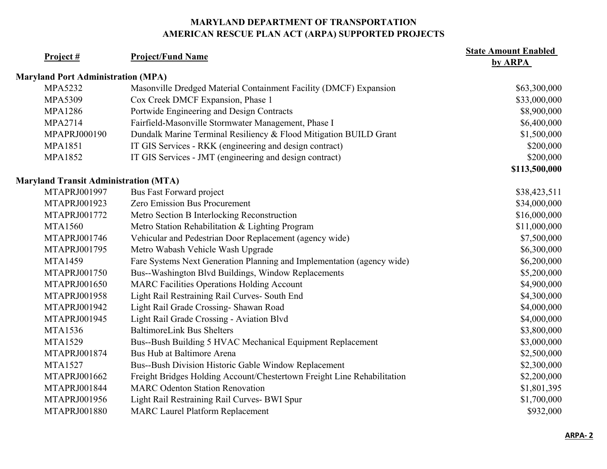| Project#                                     | <b>Project/Fund Name</b>                                                | <b>State Amount Enabled</b><br>by ARPA |
|----------------------------------------------|-------------------------------------------------------------------------|----------------------------------------|
| <b>Maryland Port Administration (MPA)</b>    |                                                                         |                                        |
| <b>MPA5232</b>                               | Masonville Dredged Material Containment Facility (DMCF) Expansion       | \$63,300,000                           |
| <b>MPA5309</b>                               | Cox Creek DMCF Expansion, Phase 1                                       | \$33,000,000                           |
| <b>MPA1286</b>                               | Portwide Engineering and Design Contracts                               | \$8,900,000                            |
| <b>MPA2714</b>                               | Fairfield-Masonville Stormwater Management, Phase I                     | \$6,400,000                            |
| MPAPRJ000190                                 | Dundalk Marine Terminal Resiliency & Flood Mitigation BUILD Grant       | \$1,500,000                            |
| <b>MPA1851</b>                               | IT GIS Services - RKK (engineering and design contract)                 | \$200,000                              |
| <b>MPA1852</b>                               | IT GIS Services - JMT (engineering and design contract)                 | \$200,000                              |
|                                              |                                                                         | \$113,500,000                          |
| <b>Maryland Transit Administration (MTA)</b> |                                                                         |                                        |
| MTAPRJ001997                                 | Bus Fast Forward project                                                | \$38,423,511                           |
| MTAPRJ001923                                 | Zero Emission Bus Procurement                                           | \$34,000,000                           |
| MTAPRJ001772                                 | Metro Section B Interlocking Reconstruction                             | \$16,000,000                           |
| <b>MTA1560</b>                               | Metro Station Rehabilitation & Lighting Program                         | \$11,000,000                           |
| MTAPRJ001746                                 | Vehicular and Pedestrian Door Replacement (agency wide)                 | \$7,500,000                            |
| MTAPRJ001795                                 | Metro Wabash Vehicle Wash Upgrade                                       | \$6,300,000                            |
| <b>MTA1459</b>                               | Fare Systems Next Generation Planning and Implementation (agency wide)  | \$6,200,000                            |
| MTAPRJ001750                                 | Bus--Washington Blvd Buildings, Window Replacements                     | \$5,200,000                            |
| MTAPRJ001650                                 | <b>MARC Facilities Operations Holding Account</b>                       | \$4,900,000                            |
| MTAPRJ001958                                 | Light Rail Restraining Rail Curves- South End                           | \$4,300,000                            |
| MTAPRJ001942                                 | Light Rail Grade Crossing- Shawan Road                                  | \$4,000,000                            |
| MTAPRJ001945                                 | Light Rail Grade Crossing - Aviation Blvd                               | \$4,000,000                            |
| <b>MTA1536</b>                               | <b>BaltimoreLink Bus Shelters</b>                                       | \$3,800,000                            |
| <b>MTA1529</b>                               | Bus--Bush Building 5 HVAC Mechanical Equipment Replacement              | \$3,000,000                            |
| MTAPRJ001874                                 | Bus Hub at Baltimore Arena                                              | \$2,500,000                            |
| <b>MTA1527</b>                               | Bus--Bush Division Historic Gable Window Replacement                    | \$2,300,000                            |
| MTAPRJ001662                                 | Freight Bridges Holding Account/Chestertown Freight Line Rehabilitation | \$2,200,000                            |
| MTAPRJ001844                                 | <b>MARC Odenton Station Renovation</b>                                  | \$1,801,395                            |
| MTAPRJ001956                                 | Light Rail Restraining Rail Curves- BWI Spur                            | \$1,700,000                            |
| MTAPRJ001880                                 | <b>MARC Laurel Platform Replacement</b>                                 | \$932,000                              |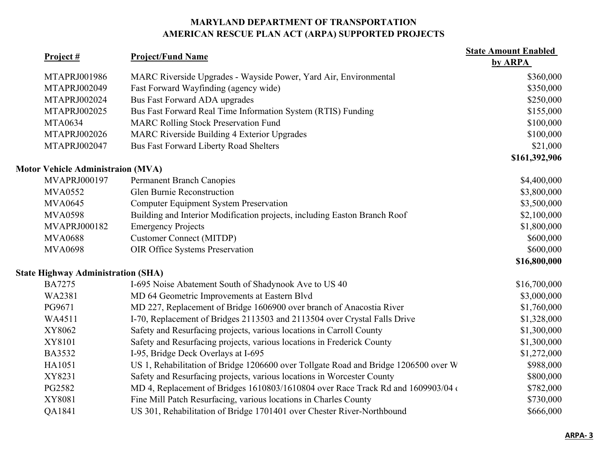| Project #                                 | <b>Project/Fund Name</b>                                                            | <b>State Amount Enabled</b><br>by ARPA |
|-------------------------------------------|-------------------------------------------------------------------------------------|----------------------------------------|
| MTAPRJ001986                              | MARC Riverside Upgrades - Wayside Power, Yard Air, Environmental                    | \$360,000                              |
| MTAPRJ002049                              | Fast Forward Wayfinding (agency wide)                                               | \$350,000                              |
| MTAPRJ002024                              | Bus Fast Forward ADA upgrades                                                       | \$250,000                              |
| MTAPRJ002025                              | Bus Fast Forward Real Time Information System (RTIS) Funding                        | \$155,000                              |
| <b>MTA0634</b>                            | <b>MARC Rolling Stock Preservation Fund</b>                                         | \$100,000                              |
| MTAPRJ002026                              | <b>MARC Riverside Building 4 Exterior Upgrades</b>                                  | \$100,000                              |
| MTAPRJ002047                              | <b>Bus Fast Forward Liberty Road Shelters</b>                                       | \$21,000                               |
|                                           |                                                                                     | \$161,392,906                          |
| <b>Motor Vehicle Administraion (MVA)</b>  |                                                                                     |                                        |
| MVAPRJ000197                              | <b>Permanent Branch Canopies</b>                                                    | \$4,400,000                            |
| <b>MVA0552</b>                            | Glen Burnie Reconstruction                                                          | \$3,800,000                            |
| <b>MVA0645</b>                            | <b>Computer Equipment System Preservation</b>                                       | \$3,500,000                            |
| <b>MVA0598</b>                            | Building and Interior Modification projects, including Easton Branch Roof           | \$2,100,000                            |
| MVAPRJ000182                              | <b>Emergency Projects</b>                                                           | \$1,800,000                            |
| <b>MVA0688</b>                            | <b>Customer Connect (MITDP)</b>                                                     | \$600,000                              |
| <b>MVA0698</b>                            | <b>OIR Office Systems Preservation</b>                                              | \$600,000                              |
|                                           |                                                                                     | \$16,800,000                           |
| <b>State Highway Administration (SHA)</b> |                                                                                     |                                        |
| <b>BA7275</b>                             | I-695 Noise Abatement South of Shadynook Ave to US 40                               | \$16,700,000                           |
| WA2381                                    | MD 64 Geometric Improvements at Eastern Blvd                                        | \$3,000,000                            |
| PG9671                                    | MD 227, Replacement of Bridge 1606900 over branch of Anacostia River                | \$1,760,000                            |
| WA4511                                    | I-70, Replacement of Bridges 2113503 and 2113504 over Crystal Falls Drive           | \$1,328,000                            |
| XY8062                                    | Safety and Resurfacing projects, various locations in Carroll County                | \$1,300,000                            |
| XY8101                                    | Safety and Resurfacing projects, various locations in Frederick County              | \$1,300,000                            |
| <b>BA3532</b>                             | I-95, Bridge Deck Overlays at I-695                                                 | \$1,272,000                            |
| HA1051                                    | US 1, Rehabilitation of Bridge 1206600 over Tollgate Road and Bridge 1206500 over W | \$988,000                              |
| XY8231                                    | Safety and Resurfacing projects, various locations in Worcester County              | \$800,000                              |
| PG2582                                    | MD 4, Replacement of Bridges 1610803/1610804 over Race Track Rd and 1609903/04 o    | \$782,000                              |
| XY8081                                    | Fine Mill Patch Resurfacing, various locations in Charles County                    | \$730,000                              |
| QA1841                                    | US 301, Rehabilitation of Bridge 1701401 over Chester River-Northbound              | \$666,000                              |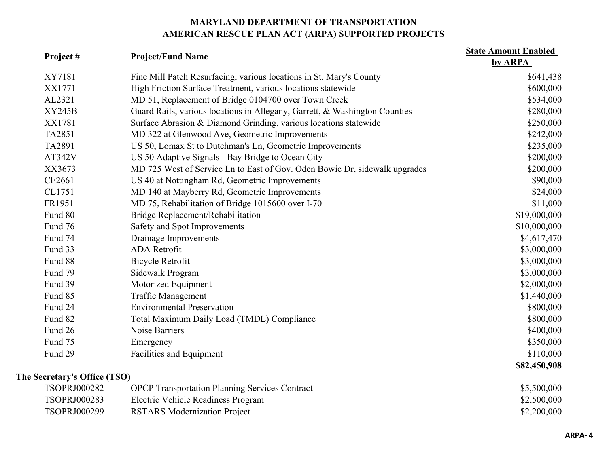| Project #                    | <b>Project/Fund Name</b>                                                   | <b>State Amount Enabled</b><br>by ARPA |
|------------------------------|----------------------------------------------------------------------------|----------------------------------------|
| XY7181                       | Fine Mill Patch Resurfacing, various locations in St. Mary's County        | \$641,438                              |
| XX1771                       | High Friction Surface Treatment, various locations statewide               | \$600,000                              |
| AL2321                       | MD 51, Replacement of Bridge 0104700 over Town Creek                       | \$534,000                              |
| <b>XY245B</b>                | Guard Rails, various locations in Allegany, Garrett, & Washington Counties | \$280,000                              |
| XX1781                       | Surface Abrasion & Diamond Grinding, various locations statewide           | \$250,000                              |
| TA2851                       | MD 322 at Glenwood Ave, Geometric Improvements                             | \$242,000                              |
| TA2891                       | US 50, Lomax St to Dutchman's Ln, Geometric Improvements                   | \$235,000                              |
| AT342V                       | US 50 Adaptive Signals - Bay Bridge to Ocean City                          | \$200,000                              |
| XX3673                       | MD 725 West of Service Ln to East of Gov. Oden Bowie Dr, sidewalk upgrades | \$200,000                              |
| CE2661                       | US 40 at Nottingham Rd, Geometric Improvements                             | \$90,000                               |
| CL1751                       | MD 140 at Mayberry Rd, Geometric Improvements                              | \$24,000                               |
| FR1951                       | MD 75, Rehabilitation of Bridge 1015600 over I-70                          | \$11,000                               |
| Fund 80                      | Bridge Replacement/Rehabilitation                                          | \$19,000,000                           |
| Fund 76                      | Safety and Spot Improvements                                               | \$10,000,000                           |
| Fund 74                      | Drainage Improvements                                                      | \$4,617,470                            |
| Fund 33                      | <b>ADA</b> Retrofit                                                        | \$3,000,000                            |
| Fund 88                      | <b>Bicycle Retrofit</b>                                                    | \$3,000,000                            |
| Fund 79                      | Sidewalk Program                                                           | \$3,000,000                            |
| Fund 39                      | Motorized Equipment                                                        | \$2,000,000                            |
| Fund 85                      | <b>Traffic Management</b>                                                  | \$1,440,000                            |
| Fund 24                      | <b>Environmental Preservation</b>                                          | \$800,000                              |
| Fund 82                      | Total Maximum Daily Load (TMDL) Compliance                                 | \$800,000                              |
| Fund 26                      | Noise Barriers                                                             | \$400,000                              |
| Fund 75                      | Emergency                                                                  | \$350,000                              |
| Fund 29                      | Facilities and Equipment                                                   | \$110,000                              |
|                              |                                                                            | \$82,450,908                           |
| The Secretary's Office (TSO) |                                                                            |                                        |
| TSOPRJ000282                 | <b>OPCP</b> Transportation Planning Services Contract                      | \$5,500,000                            |
| TSOPRJ000283                 | Electric Vehicle Readiness Program                                         | \$2,500,000                            |
| TSOPRJ000299                 | <b>RSTARS Modernization Project</b>                                        | \$2,200,000                            |